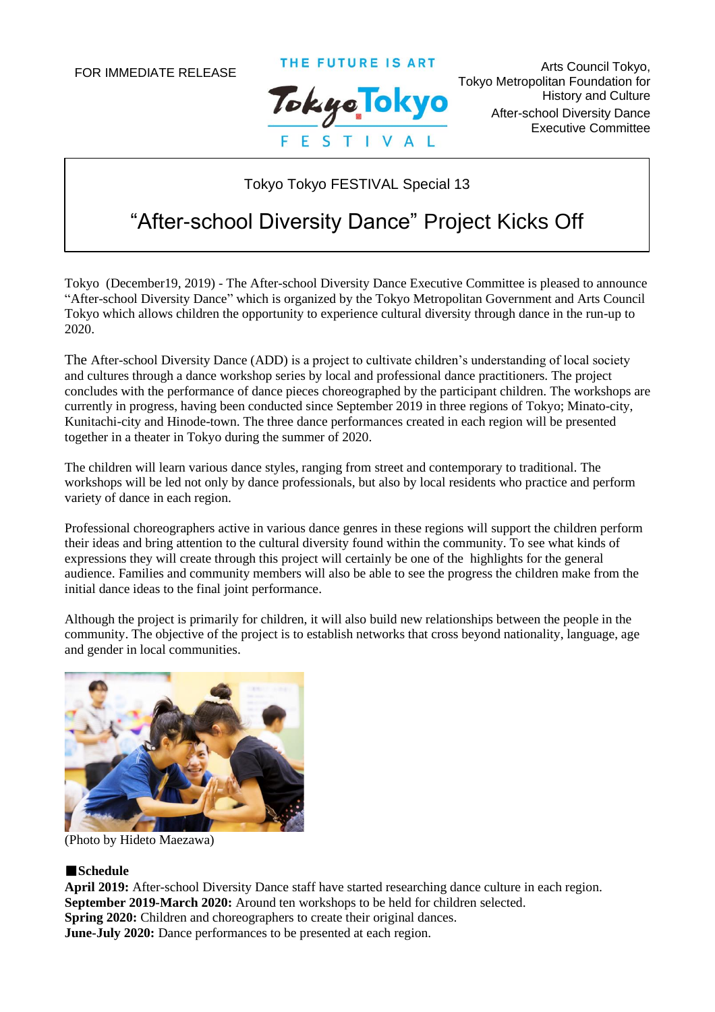THE FUTURE IS ART



Arts Council Tokyo, Tokyo Metropolitan Foundation for History and Culture After-school Diversity Dance Executive Committee

Tokyo Tokyo FESTIVAL Special 13

# "After-school Diversity Dance" Project Kicks Off

Tokyo (December19, 2019) - The After-school Diversity Dance Executive Committee is pleased to announce "After-school Diversity Dance" which is organized by the Tokyo Metropolitan Government and Arts Council Tokyo which allows children the opportunity to experience cultural diversity through dance in the run-up to 2020.

The After-school Diversity Dance (ADD) is a project to cultivate children's understanding of local society and cultures through a dance workshop series by local and professional dance practitioners. The project concludes with the performance of dance pieces choreographed by the participant children. The workshops are currently in progress, having been conducted since September 2019 in three regions of Tokyo; Minato-city, Kunitachi-city and Hinode-town. The three dance performances created in each region will be presented together in a theater in Tokyo during the summer of 2020.

The children will learn various dance styles, ranging from street and contemporary to traditional. The workshops will be led not only by dance professionals, but also by local residents who practice and perform variety of dance in each region.

Professional choreographers active in various dance genres in these regions will support the children perform their ideas and bring attention to the cultural diversity found within the community. To see what kinds of expressions they will create through this project will certainly be one of the highlights for the general audience. Families and community members will also be able to see the progress the children make from the initial dance ideas to the final joint performance.

Although the project is primarily for children, it will also build new relationships between the people in the community. The objective of the project is to establish networks that cross beyond nationality, language, age and gender in local communities.



(Photo by Hideto Maezawa)

#### ■**Schedule**

**April 2019:** After-school Diversity Dance staff have started researching dance culture in each region. **September 2019-March 2020:** Around ten workshops to be held for children selected. **Spring 2020:** Children and choreographers to create their original dances. **June-July 2020:** Dance performances to be presented at each region.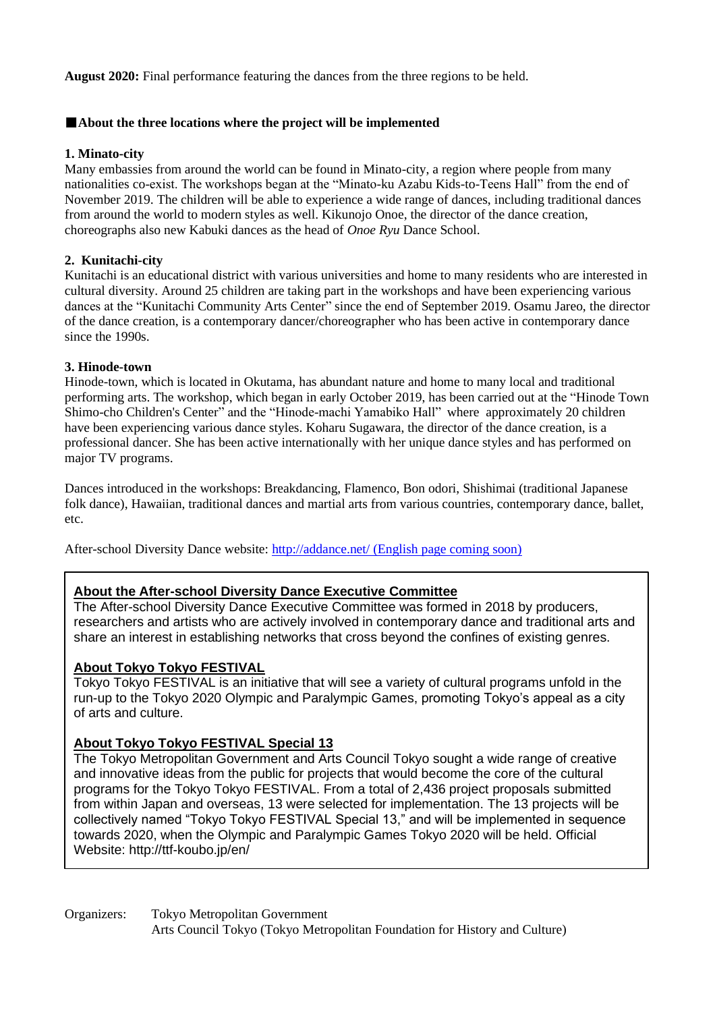**August 2020:** Final performance featuring the dances from the three regions to be held.

#### ■**About the three locations where the project will be implemented**

#### **1. Minato-city**

Many embassies from around the world can be found in Minato-city, a region where people from many nationalities co-exist. The workshops began at the "Minato-ku Azabu Kids-to-Teens Hall" from the end of November 2019. The children will be able to experience a wide range of dances, including traditional dances from around the world to modern styles as well. Kikunojo Onoe, the director of the dance creation, choreographs also new Kabuki dances as the head of *Onoe Ryu* Dance School.

#### **2. Kunitachi-city**

Kunitachi is an educational district with various universities and home to many residents who are interested in cultural diversity. Around 25 children are taking part in the workshops and have been experiencing various dances at the "Kunitachi Community Arts Center" since the end of September 2019. Osamu Jareo, the director of the dance creation, is a contemporary dancer/choreographer who has been active in contemporary dance since the 1990s.

#### **3. Hinode-town**

Hinode-town, which is located in Okutama, has abundant nature and home to many local and traditional performing arts. The workshop, which began in early October 2019, has been carried out at the "Hinode Town Shimo-cho Children's Center" and the "Hinode-machi Yamabiko Hall" where approximately 20 children have been experiencing various dance styles. Koharu Sugawara, the director of the dance creation, is a professional dancer. She has been active internationally with her unique dance styles and has performed on major TV programs.

Dances introduced in the workshops: Breakdancing, Flamenco, Bon odori, Shishimai (traditional Japanese folk dance), Hawaiian, traditional dances and martial arts from various countries, contemporary dance, ballet, etc.

After-school Diversity Dance website:<http://addance.net/> (English page coming soon)

## **About the After-school Diversity Dance Executive Committee**

The After-school Diversity Dance Executive Committee was formed in 2018 by producers, researchers and artists who are actively involved in contemporary dance and traditional arts and share an interest in establishing networks that cross beyond the confines of existing genres.

# **About Tokyo Tokyo FESTIVAL**

Tokyo Tokyo FESTIVAL is an initiative that will see a variety of cultural programs unfold in the run-up to the Tokyo 2020 Olympic and Paralympic Games, promoting Tokyo's appeal as a city of arts and culture.

## **About Tokyo Tokyo FESTIVAL Special 13**

The Tokyo Metropolitan Government and Arts Council Tokyo sought a wide range of creative and innovative ideas from the public for projects that would become the core of the cultural programs for the Tokyo Tokyo FESTIVAL. From a total of 2,436 project proposals submitted from within Japan and overseas, 13 were selected for implementation. The 13 projects will be collectively named "Tokyo Tokyo FESTIVAL Special 13," and will be implemented in sequence towards 2020, when the Olympic and Paralympic Games Tokyo 2020 will be held. Official Website: http://ttf-koubo.jp/en/